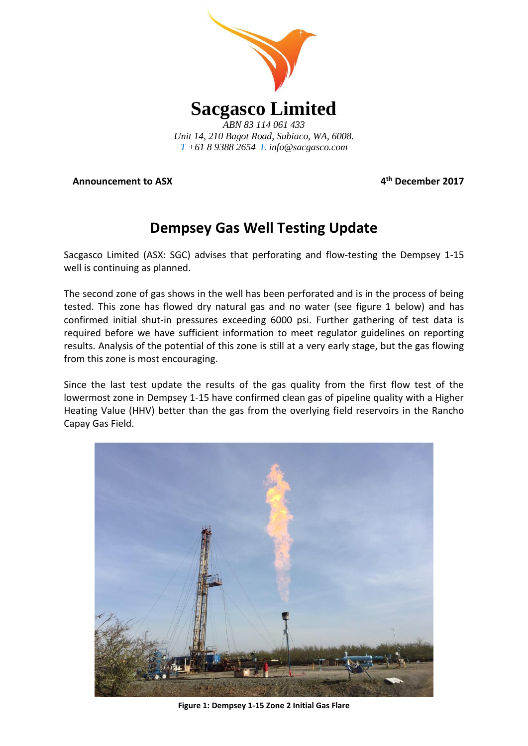

**Announcement to ASX 4**

**th December 2017**

# **Dempsey Gas Well Testing Update**

Sacgasco Limited (ASX: SGC) advises that perforating and flow-testing the Dempsey 1-15 well is continuing as planned.

The second zone of gas shows in the well has been perforated and is in the process of being tested. This zone has flowed dry natural gas and no water (see figure 1 below) and has confirmed initial shut-in pressures exceeding 6000 psi. Further gathering of test data is required before we have sufficient information to meet regulator guidelines on reporting results. Analysis of the potential of this zone is still at a very early stage, but the gas flowing from this zone is most encouraging.

Since the last test update the results of the gas quality from the first flow test of the lowermost zone in Dempsey 1-15 have confirmed clean gas of pipeline quality with a Higher Heating Value (HHV) better than the gas from the overlying field reservoirs in the Rancho Capay Gas Field.



**Figure 1: Dempsey 1-15 Zone 2 Initial Gas Flare**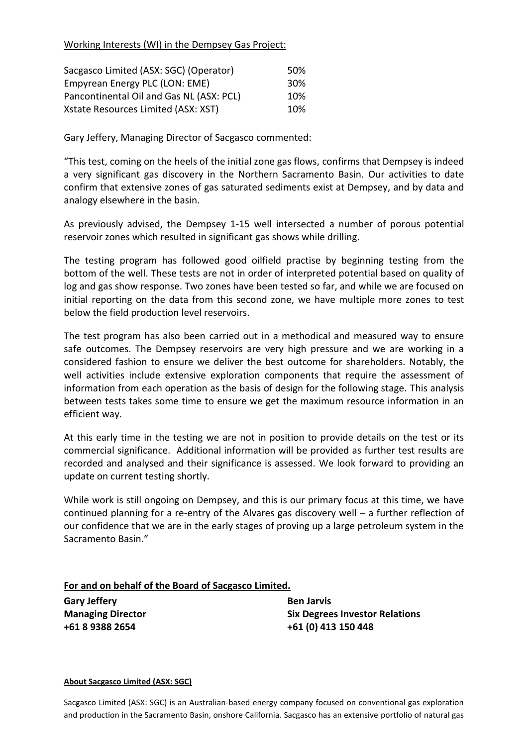### Working Interests (WI) in the Dempsey Gas Project:

| Sacgasco Limited (ASX: SGC) (Operator)   | 50% |
|------------------------------------------|-----|
| Empyrean Energy PLC (LON: EME)           | 30% |
| Pancontinental Oil and Gas NL (ASX: PCL) | 10% |
| Xstate Resources Limited (ASX: XST)      | 10% |

Gary Jeffery, Managing Director of Sacgasco commented:

"This test, coming on the heels of the initial zone gas flows, confirms that Dempsey is indeed a very significant gas discovery in the Northern Sacramento Basin. Our activities to date confirm that extensive zones of gas saturated sediments exist at Dempsey, and by data and analogy elsewhere in the basin.

As previously advised, the Dempsey 1-15 well intersected a number of porous potential reservoir zones which resulted in significant gas shows while drilling.

The testing program has followed good oilfield practise by beginning testing from the bottom of the well. These tests are not in order of interpreted potential based on quality of log and gas show response. Two zones have been tested so far, and while we are focused on initial reporting on the data from this second zone, we have multiple more zones to test below the field production level reservoirs.

The test program has also been carried out in a methodical and measured way to ensure safe outcomes. The Dempsey reservoirs are very high pressure and we are working in a considered fashion to ensure we deliver the best outcome for shareholders. Notably, the well activities include extensive exploration components that require the assessment of information from each operation as the basis of design for the following stage. This analysis between tests takes some time to ensure we get the maximum resource information in an efficient way.

At this early time in the testing we are not in position to provide details on the test or its commercial significance. Additional information will be provided as further test results are recorded and analysed and their significance is assessed. We look forward to providing an update on current testing shortly.

While work is still ongoing on Dempsey, and this is our primary focus at this time, we have continued planning for a re-entry of the Alvares gas discovery well – a further reflection of our confidence that we are in the early stages of proving up a large petroleum system in the Sacramento Basin."

## **For and on behalf of the Board of Sacgasco Limited.**

**Gary Jeffery Ben Jarvis**

**Managing Director Six Degrees Investor Relations +61 8 9388 2654 +61 (0) 413 150 448**

#### **About Sacgasco Limited (ASX: SGC)**

Sacgasco Limited (ASX: SGC) is an Australian-based energy company focused on conventional gas exploration and production in the Sacramento Basin, onshore California. Sacgasco has an extensive portfolio of natural gas